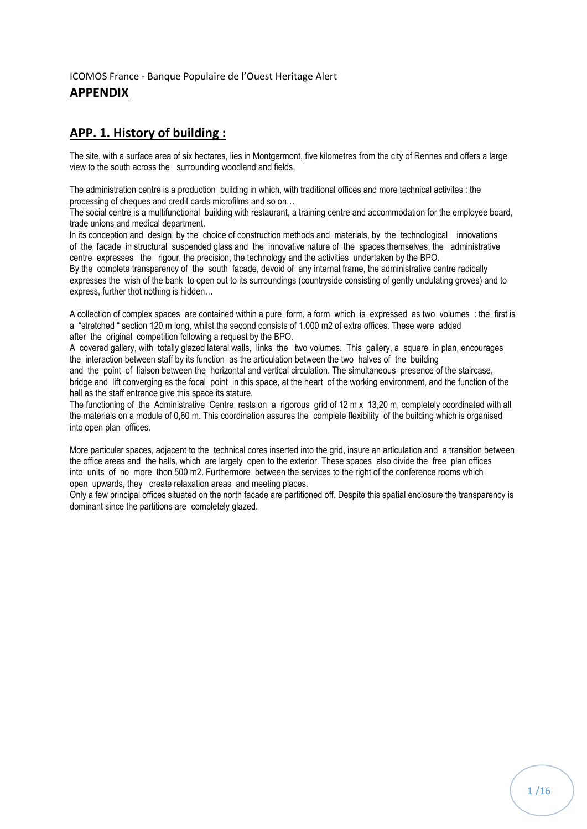## ICOMOS France - Banque Populaire de l'Ouest Heritage Alert

# **APPENDIX**

# **APP. 1. History of building :**

The site, with a surface area of six hectares, lies in Montgermont, five kilometres from the city of Rennes and offers a large view to the south across the surrounding woodland and fields.

The administration centre is a production building in which, with traditional offices and more technical activites : the processing of cheques and credit cards microfilms and so on…

The social centre is a multifunctional building with restaurant, a training centre and accommodation for the employee board, trade unions and medical department.

ln its conception and design, by the choice of construction methods and materials, by the technological innovations of the facade in structural suspended glass and the innovative nature of the spaces themselves, the administrative centre expresses the rigour, the precision, the technology and the activities undertaken by the BPO.

By the complete transparency of the south facade, devoid of any internal frame, the administrative centre radically expresses the wish of the bank to open out to its surroundings (countryside consisting of gently undulating groves) and to express, further thot nothing is hidden…

A collection of complex spaces are contained within a pure form, a form which is expressed as two volumes : the first is a "stretched " section 120 m long, whilst the second consists of 1.000 m2 of extra offices. These were added after the original competition following a request by the BPO.

A covered gallery, with totally glazed lateral walls, links the two volumes. This gallery, a square in plan, encourages the interaction between staff by its function as the articulation between the two halves of the building

and the point of liaison between the horizontal and vertical circulation. The simultaneous presence of the staircase, bridge and lift converging as the focal point in this space, at the heart of the working environment, and the function of the hall as the staff entrance give this space its stature.

The functioning of the Administrative Centre rests on a rigorous grid of 12 m x 13,20 m, completely coordinated with all the materials on a module of 0,60 m. This coordination assures the complete flexibility of the building which is organised into open plan offices.

More particular spaces, adjacent to the technical cores inserted into the grid, insure an articulation and a transition between the office areas and the halls, which are largely open to the exterior. These spaces also divide the free plan offices into units of no more thon 500 m2. Furthermore between the services to the right of the conference rooms which open upwards, they create relaxation areas and meeting places.

Only a few principal offices situated on the north facade are partitioned off. Despite this spatial enclosure the transparency is dominant since the partitions are completely glazed.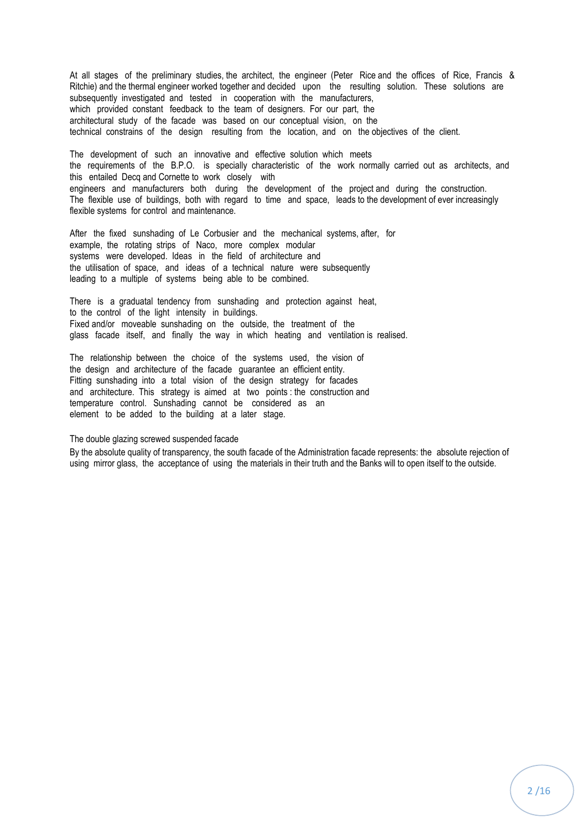At all stages of the preliminary studies, the architect, the engineer (Peter Rice and the offices of Rice, Francis & Ritchie) and the thermal engineer worked together and decided upon the resulting solution. These solutions are subsequently investigated and tested in cooperation with the manufacturers, which provided constant feedback to the team of designers. For our part, the architectural study of the facade was based on our conceptual vision, on the technical constrains of the design resulting from the location, and on the objectives of the client.

The development of such an innovative and effective solution which meets the requirements of the B.P.O. is specially characteristic of the work normally carried out as architects, and this entailed Decq and Cornette to work closely with engineers and manufacturers both during the development of the project and during the construction. The flexible use of buildings, both with regard to time and space, leads to the development of ever increasingly flexible systems for control and maintenance.

After the fixed sunshading of Le Corbusier and the mechanical systems, after, for example, the rotating strips of Naco, more complex modular systems were developed. Ideas in the field of architecture and the utilisation of space, and ideas of a technical nature were subsequently leading to a multiple of systems being able to be combined.

There is a graduatal tendency from sunshading and protection against heat, to the control of the light intensity in buildings. Fixed and/or moveable sunshading on the outside, the treatment of the glass facade itself, and finally the way in which heating and ventilation is realised.

The relationship between the choice of the systems used, the vision of the design and architecture of the facade guarantee an efficient entity. Fitting sunshading into a total vision of the design strategy for facades and architecture. This strategy is aimed at two points : the construction and temperature control. Sunshading cannot be considered as an element to be added to the building at a later stage.

The double glazing screwed suspended facade

By the absolute quality of transparency, the south facade of the Administration facade represents: the absolute rejection of using mirror glass, the acceptance of using the materials in their truth and the Banks will to open itself to the outside.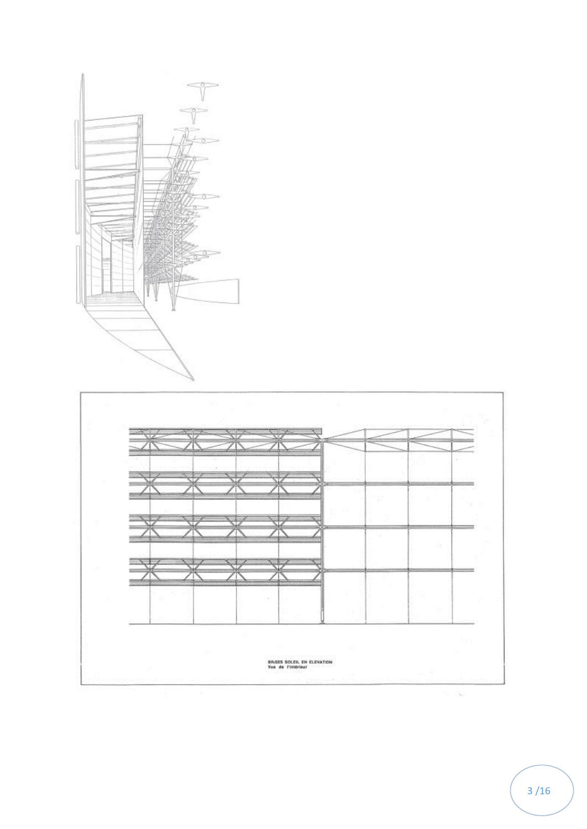



/16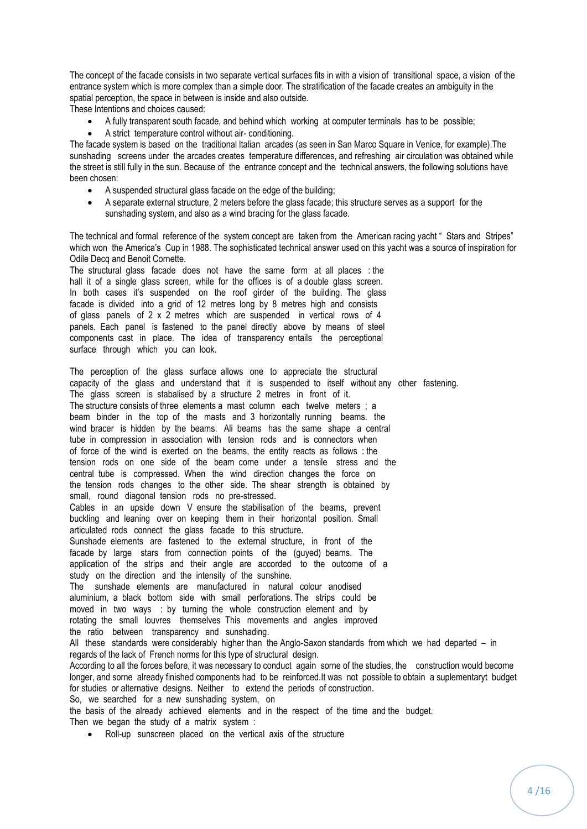The concept of the facade consists in two separate vertical surfaces fits in with a vision of transitional space, a vision of the entrance system which is more complex than a simple door. The stratification of the facade creates an ambiguity in the spatial perception, the space in between is inside and also outside.

These Intentions and choices caused:

- A fully transparent south facade, and behind which working at computer terminals has to be possible;
- A strict temperature control without air- conditioning.

The facade system is based on the traditional ltalian arcades (as seen in San Marco Square in Venice, for example).The sunshading screens under the arcades creates temperature differences, and refreshing air circulation was obtained while the street is still fully in the sun. Because of the entrance concept and the technical answers, the following solutions have been chosen:

- A suspended structural glass facade on the edge of the building;
- A separate external structure, 2 meters before the glass facade; this structure serves as a support for the sunshading system, and also as a wind bracing for the glass facade.

The technical and formal reference of the system concept are taken from the American racing yacht " Stars and Stripes" which won the America's Cup in 1988. The sophisticated technical answer used on this yacht was a source of inspiration for Odile Decq and Benoit Cornette.

The structural glass facade does not have the same form at all places : the hall it of a single glass screen, while for the offices is of a double glass screen. In both cases it's suspended on the roof girder of the building. The glass facade is divided into a grid of 12 metres long by 8 metres high and consists of glass panels of 2 x 2 metres which are suspended in vertical rows of 4 panels. Each panel is fastened to the panel directly above by means of steel components cast in place. The idea of transparency entails the perceptional surface through which you can look.

The perception of the glass surface allows one to appreciate the structural capacity of the glass and understand that it is suspended to itself without any other fastening. The glass screen is stabalised by a structure 2 metres in front of it. The structure consists of three elements a mast column each twelve meters ; a beam binder in the top of the masts and 3 horizontally running beams. the wind bracer is hidden by the beams. Ali beams has the same shape a central tube in compression in association with tension rods and is connectors when of force of the wind is exerted on the beams, the entity reacts as follows : the tension rods on one side of the beam come under a tensile stress and the central tube is compressed. When the wind direction changes the force on the tension rods changes to the other side. The shear strength is obtained by small, round diagonal tension rods no pre-stressed. Cables in an upside down V ensure the stabilisation of the beams, prevent buckling and leaning over on keeping them in their horizontal position. Small articulated rods connect the glass facade to this structure. Sunshade elements are fastened to the external structure, in front of the facade by large stars from connection points of the (guyed) beams. The application of the strips and their angle are accorded to the outcome of a study on the direction and the intensity of the sunshine. The sunshade elements are manufactured in natural colour anodised aluminium, a black bottom side with small perforations. The strips could be moved in two ways : by turning the whole construction element and by rotating the small louvres themselves This movements and angles improved the ratio between transparency and sunshading. All these standards were considerably higher than the Anglo-Saxon standards from which we had departed – in regards of the lack of French norms for this type of structural design. According to all the forces before, it was necessary to conduct again sorne of the studies, the construction would become longer, and sorne already finished components had to be reinforced.It was not possible to obtain a suplementaryt budget for studies or alternative designs. Neither to extend the periods of construction. So, we searched for a new sunshading system, on the basis of the already achieved elements and in the respect of the time and the budget. Then we began the study of a matrix system :

Roll-up sunscreen placed on the vertical axis of the structure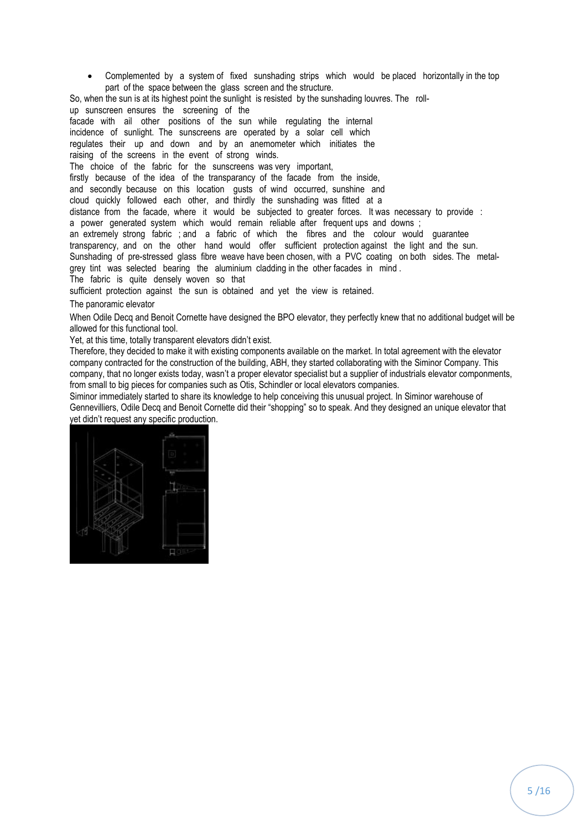Complemented by a system of fixed sunshading strips which would be placed horizontally in the top part of the space between the glass screen and the structure.

So, when the sun is at its highest point the sunlight is resisted by the sunshading louvres. The rollup sunscreen ensures the screening of the facade with ail other positions of the sun while regulating the internal incidence of sunlight. The sunscreens are operated by a solar cell which regulates their up and down and by an anemometer which initiates the raising of the screens in the event of strong winds. The choice of the fabric for the sunscreens was very important, firstly because of the idea of the transparancy of the facade from the inside, and secondly because on this location gusts of wind occurred, sunshine and cloud quickly followed each other, and thirdly the sunshading was fitted at a distance from the facade, where it would be subjected to greater forces. It was necessary to provide : a power generated system which would remain reliable after frequent ups and downs ; an extremely strong fabric ; and a fabric of which the fibres and the colour would guarantee transparency, and on the other hand would offer sufficient protection against the light and the sun. Sunshading of pre-stressed glass fibre weave have been chosen, with a PVC coating on both sides. The metalgrey tint was selected bearing the aluminium cladding in the other facades in mind . The fabric is quite densely woven so that sufficient protection against the sun is obtained and yet the view is retained.

#### The panoramic elevator

When Odile Decq and Benoit Cornette have designed the BPO elevator, they perfectly knew that no additional budget will be allowed for this functional tool.

Yet, at this time, totally transparent elevators didn't exist.

Therefore, they decided to make it with existing components available on the market. In total agreement with the elevator company contracted for the construction of the building, ABH, they started collaborating with the Siminor Company. This company, that no longer exists today, wasn't a proper elevator specialist but a supplier of industrials elevator componments, from small to big pieces for companies such as Otis, Schindler or local elevators companies.

Siminor immediately started to share its knowledge to help conceiving this unusual project. In Siminor warehouse of Gennevilliers, Odile Decq and Benoit Cornette did their "shopping" so to speak. And they designed an unique elevator that yet didn't request any specific production.

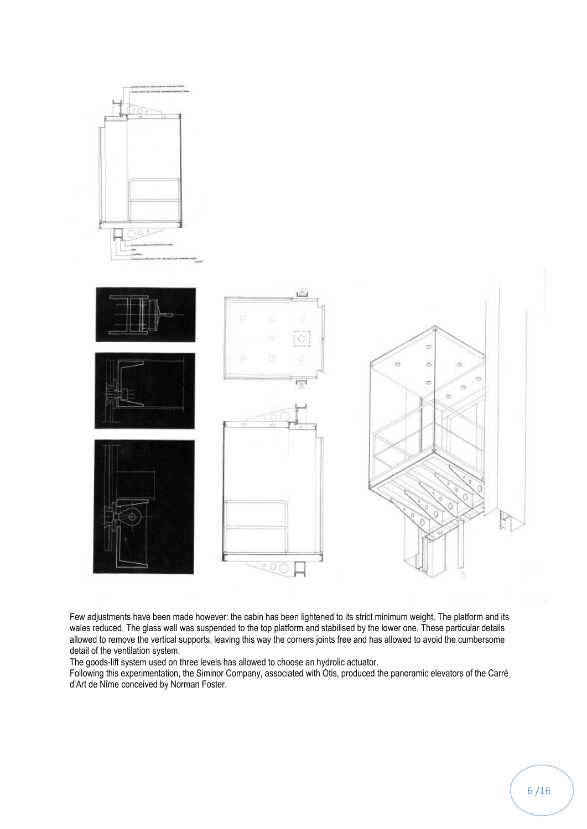

Few adjustments have been made however: the cabin has been lightened to its strict minimum weight. The platform and its wales reduced. The glass wall was suspended to the top platform and stabilised by the lower one. These particular details allowed to remove the vertical supports, leaving this way the corners joints free and has allowed to avoid the cumbersome detail of the ventilation system.

The goods-lift system used on three levels has allowed to choose an hydrolic actuator.

Following this experimentation, the Siminor Company, associated with Otis, produced the panoramic elevators of the Carré d'Art de Nîme conceived by Norman Foster.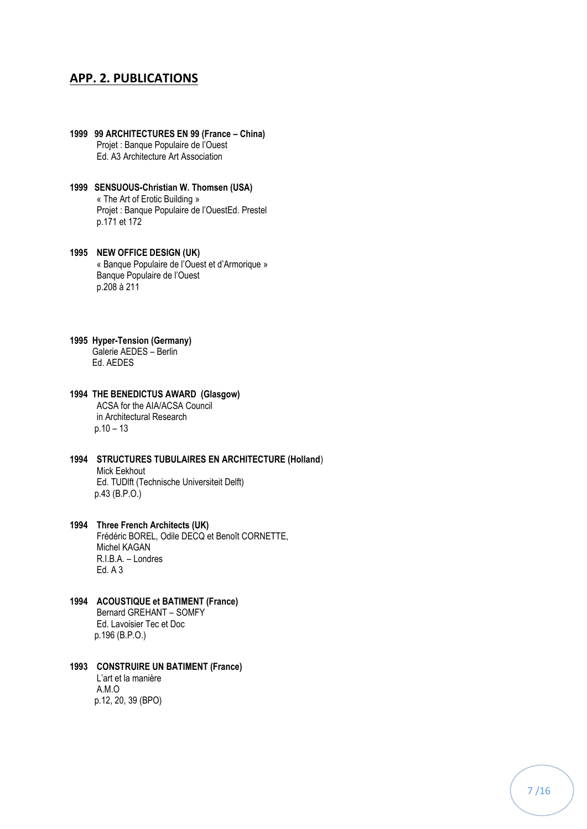## **APP. 2. PUBLICATIONS**

- **1999 99 ARCHITECTURES EN 99 (France – China)** Projet : Banque Populaire de l'Ouest Ed. A3 Architecture Art Association
- **1999 SENSUOUS-Christian W. Thomsen (USA)** « The Art of Erotic Building » Projet : Banque Populaire de l'OuestEd. Prestel p.171 et 172
- **1995 NEW OFFICE DESIGN (UK)** « Banque Populaire de l'Ouest et d'Armorique » Banque Populaire de l'Ouest p.208 à 211
- **1995 Hyper-Tension (Germany)** Galerie AEDES – Berlin Ed. AEDES
- **1994 THE BENEDICTUS AWARD (Glasgow)** ACSA for the AIA/ACSA Council in Architectural Research  $p.10 - 13$
- **1994 STRUCTURES TUBULAIRES EN ARCHITECTURE (Holland**) Mick Eekhout Ed. TUDlft (Technische Universiteit Delft) p.43 (B.P.O.)
- **1994 Three French Architects (UK)** Frédéric BOREL, Odile DECQ et Benoît CORNETTE, Michel KAGAN R.I.B.A. – Londres Ed. A 3
- **1994 ACOUSTIQUE et BATIMENT (France)** Bernard GREHANT – SOMFY Ed. Lavoisier Tec et Doc p.196 (B.P.O.)
- **1993 CONSTRUIRE UN BATIMENT (France)** L'art et la manière A.M.O p.12, 20, 39 (BPO)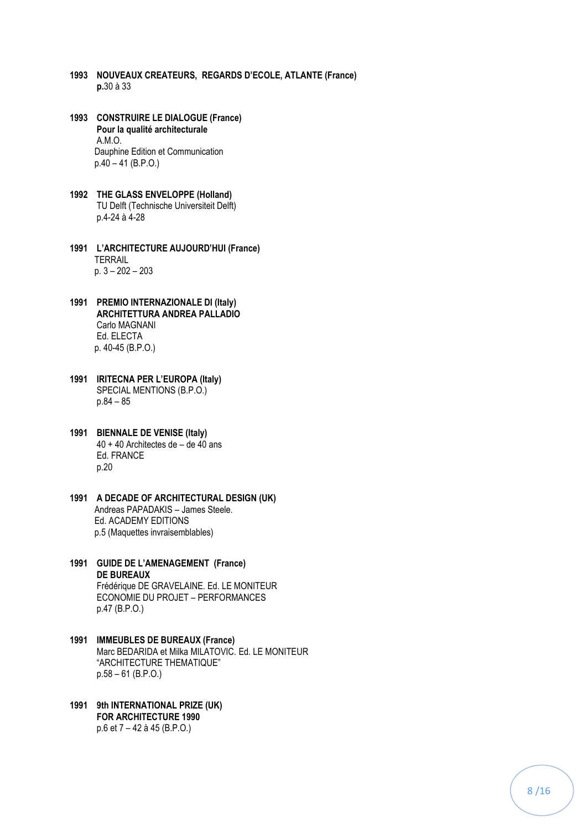- **1993 NOUVEAUX CREATEURS, REGARDS D'ECOLE, ATLANTE (France) p.**30 à 33
- **1993 CONSTRUIRE LE DIALOGUE (France) Pour la qualité architecturale** A.M.O. Dauphine Edition et Communication p.40 – 41 (B.P.O.)
- **1992 THE GLASS ENVELOPPE (Holland)** TU Delft (Technische Universiteit Delft) p.4-24 à 4-28
- **1991 L'ARCHITECTURE AUJOURD'HUI (France) TERRAIL** p. 3 – 202 – 203
- **1991 PREMIO INTERNAZIONALE DI (Italy) ARCHITETTURA ANDREA PALLADIO** Carlo MAGNANI Ed. ELECTA p. 40-45 (B.P.O.)
- **1991 IRITECNA PER L'EUROPA (Italy)** SPECIAL MENTIONS (B.P.O.) p.84 – 85
- **1991 BIENNALE DE VENISE (Italy)** 40 + 40 Architectes de – de 40 ans Ed. FRANCE p.20
- **1991 A DECADE OF ARCHITECTURAL DESIGN (UK)** Andreas PAPADAKIS – James Steele. Ed. ACADEMY EDITIONS p.5 (Maquettes invraisemblables)
- **1991 GUIDE DE L'AMENAGEMENT (France) DE BUREAUX** Frédérique DE GRAVELAINE. Ed. LE MONITEUR ECONOMIE DU PROJET – PERFORMANCES p.47 (B.P.O.)
- **1991 IMMEUBLES DE BUREAUX (France)** Marc BEDARIDA et Milka MILATOVIC. Ed. LE MONITEUR "ARCHITECTURE THEMATIQUE" p.58 – 61 (B.P.O.)
- **1991 9th INTERNATIONAL PRIZE (UK) FOR ARCHITECTURE 1990** p.6 et 7 – 42 à 45 (B.P.O.)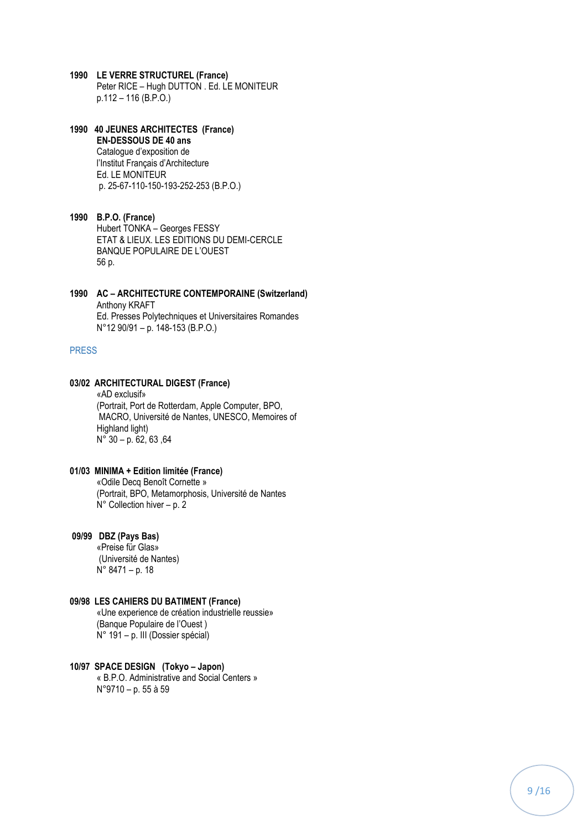- **1990 LE VERRE STRUCTUREL (France)** Peter RICE – Hugh DUTTON . Ed. LE MONITEUR p.112 – 116 (B.P.O.)
- **1990 40 JEUNES ARCHITECTES (France) EN-DESSOUS DE 40 ans** Catalogue d'exposition de l'Institut Français d'Architecture Ed. LE MONITEUR p. 25-67-110-150-193-252-253 (B.P.O.)
- **1990 B.P.O. (France)** Hubert TONKA – Georges FESSY ETAT & LIEUX. LES EDITIONS DU DEMI-CERCLE BANQUE POPULAIRE DE L'OUEST 56 p.
- **1990 AC – ARCHITECTURE CONTEMPORAINE (Switzerland)** Anthony KRAFT Ed. Presses Polytechniques et Universitaires Romandes N°12 90/91 – p. 148-153 (B.P.O.)

## PRESS

## **03/02 ARCHITECTURAL DIGEST (France)**

«AD exclusif» (Portrait, Port de Rotterdam, Apple Computer, BPO, MACRO, Université de Nantes, UNESCO, Memoires of Highland light) N° 30 – p. 62, 63 ,64

## **01/03 MINIMA + Edition limitée (France)**

 «Odile Decq Benoît Cornette » (Portrait, BPO, Metamorphosis, Université de Nantes N° Collection hiver – p. 2

#### **09/99 DBZ (Pays Bas)**

 «Preise für Glas» (Université de Nantes) N° 8471 – p. 18

#### **09/98 LES CAHIERS DU BATIMENT (France)**

 «Une experience de création industrielle reussie» (Banque Populaire de l'Ouest ) N° 191 – p. III (Dossier spécial)

#### **10/97 SPACE DESIGN (Tokyo – Japon)**

 « B.P.O. Administrative and Social Centers » N°9710 – p. 55 à 59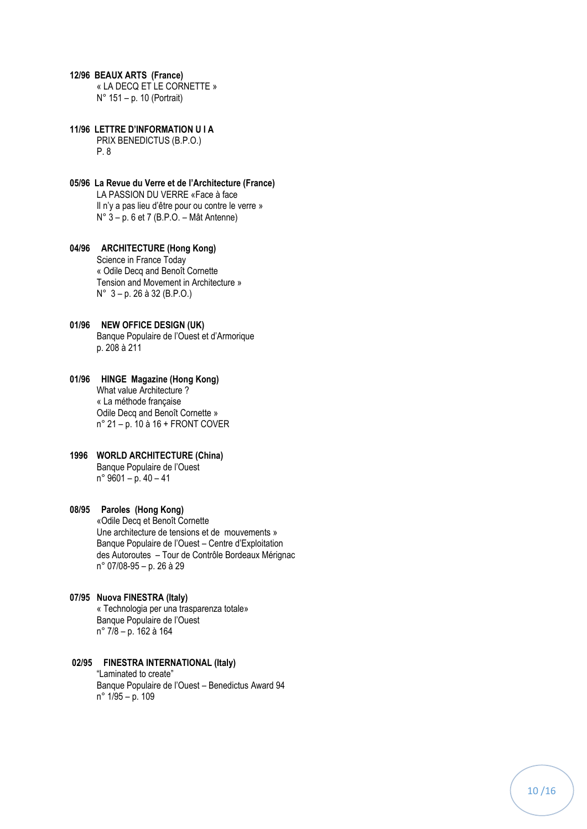#### **12/96 BEAUX ARTS (France)**

 « LA DECQ ET LE CORNETTE » N° 151 – p. 10 (Portrait)

**11/96 LETTRE D'INFORMATION U I A**

 PRIX BENEDICTUS (B.P.O.) P. 8

- **05/96 La Revue du Verre et de l'Architecture (France)** LA PASSION DU VERRE «Face à face Il n'y a pas lieu d'être pour ou contre le verre » N° 3 – p. 6 et 7 (B.P.O. – Mât Antenne)
- **04/96 ARCHITECTURE (Hong Kong)** Science in France Today « Odile Decq and Benoît Cornette Tension and Movement in Architecture » N° 3 – p. 26 à 32 (B.P.O.)
- **01/96 NEW OFFICE DESIGN (UK)** Banque Populaire de l'Ouest et d'Armorique p. 208 à 211
- **01/96 HINGE Magazine (Hong Kong)** What value Architecture ? « La méthode française Odile Decq and Benoît Cornette » n° 21 – p. 10 à 16 + FRONT COVER
- **1996 WORLD ARCHITECTURE (China)** Banque Populaire de l'Ouest n° 9601 – p. 40 – 41

## **08/95 Paroles (Hong Kong)**

 «Odile Decq et Benoît Cornette Une architecture de tensions et de mouvements » Banque Populaire de l'Ouest – Centre d'Exploitation des Autoroutes – Tour de Contrôle Bordeaux Mérignac n° 07/08-95 – p. 26 à 29

- **07/95 Nuova FINESTRA (Italy)** « Technologia per una trasparenza totale» Banque Populaire de l'Ouest n° 7/8 – p. 162 à 164
	-

#### **02/95 FINESTRA INTERNATIONAL (Italy)** "Laminated to create"

 Banque Populaire de l'Ouest – Benedictus Award 94 n° 1/95 – p. 109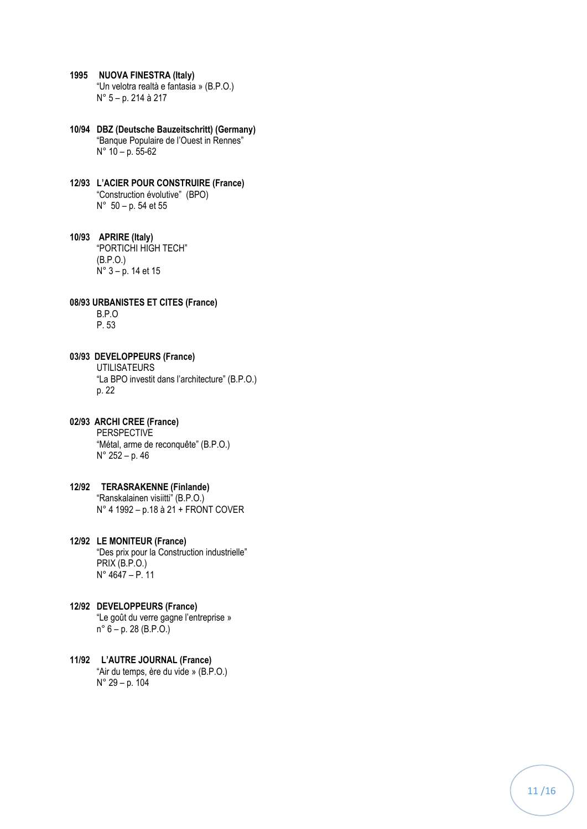- **1995 NUOVA FINESTRA (Italy)** "Un velotra realtà e fantasia » (B.P.O.) N° 5 – p. 214 à 217
- **10/94 DBZ (Deutsche Bauzeitschritt) (Germany)** "Banque Populaire de l'Ouest in Rennes" N° 10 – p. 55 -62
- **12/93 L'ACIER POUR CONSTRUIRE (France)** "Construction évolutive" (BPO) N° 50 – p. 54 et 55

**10/93 APRIRE (Italy)** "PORTICHI HIGH TECH" (B.P.O.) N° 3 – p. 14 et 15

**08/93 URBANISTES ET CITES (France)** B.P.O P. 53

**03/93 DEVELOPPEURS (France)** UTILISATEURS "La BPO investit dans l'architecture" (B.P.O.) p. 22

**02/93 ARCHI CREE (France)** PERSPECTIVE "Métal, arme de reconquête" (B.P.O.) N° 252 – p. 46

**12/92 TERASRAKENNE (Finlande)** "Ranskalainen visiitti" (B.P.O.) N° 4 1992 – p.18 à 21 + FRONT COVER

**12/92 LE MONITEUR (France)** "Des prix pour la Construction industrielle" PRIX (B.P.O.) N° 4647 – P. 11

- **12/92 DEVELOPPEURS (France)** "Le goût du verre gagne l'entreprise » n° 6 – p. 28 (B.P.O.)
- **11/92 L'AUTRE JOURNAL (France)** "Air du temps, ère du vide » (B.P.O.) N° 29 – p. 104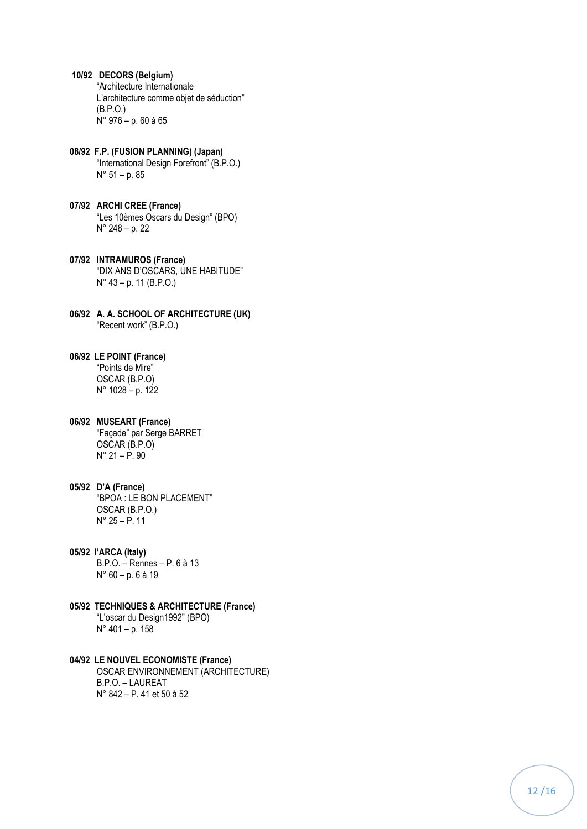- **10/92 DECORS (Belgium)** "Architecture Internationale L'architecture comme objet de séduction" (B.P.O.) N° 976 – p. 60 à 65
- **08/92 F.P. (FUSION PLANNING) (Japan)** "International Design Forefront" (B.P.O.) N° 51 – p. 85
- **07/92 ARCHI CREE (France)** "Les 10èmes Oscars du Design" (BPO) N° 248 – p. 22
- **07/92 INTRAMUROS (France)** "DIX ANS D'OSCARS, UNE HABITUDE" N° 43 – p. 11 (B.P.O.)
- **06/92 A. A. SCHOOL OF ARCHITECTURE (UK)** "Recent work" (B.P.O.)
- **06/92 LE POINT (France)** "Points de Mire" OSCAR (B.P.O) N° 1028 – p. 122
- **06/92 MUSEART (France)** "Façade" par Serge BARRET OSCAR (B.P.O) N° 21 – P. 90
- **05/92 D'A (France)** "BPOA : LE BON PLACEMENT" OSCAR (B.P.O.) N° 25 – P. 11
- **05/92 l'ARCA (Italy)** B.P.O. – Rennes – P. 6 à 13 N° 60 – p. 6 à 19
- **05/92 TECHNIQUES & ARCHITECTURE (France)** "L'oscar du Design1992″ (BPO) N° 401 – p. 158
- **04/92 LE NOUVEL ECONOMISTE (France)** OSCAR ENVIRONNEMENT (ARCHITECTURE)

B.P.O. – LAUREAT N° 842 – P. 41 et 50 à 52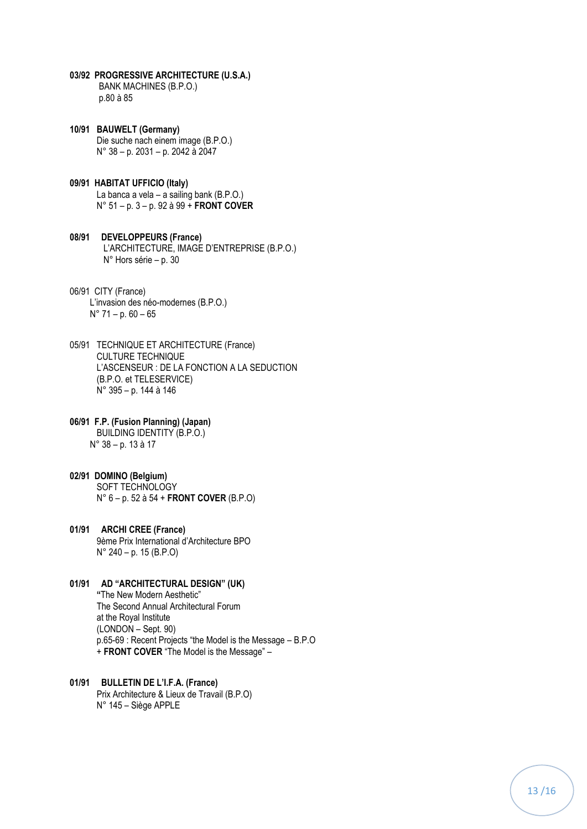- **03/92 PROGRESSIVE ARCHITECTURE (U.S.A.)** BANK MACHINES (B.P.O.) p.80 à 85
- **10/91 BAUWELT (Germany)** Die suche nach einem image (B.P.O.) N° 38 – p. 2031 – p. 2042 à 2047
- **09/91 HABITAT UFFICIO (Italy)** La banca a vela – a sailing bank (B.P.O.) N° 51 – p. 3 – p. 92 à 99 + **FRONT COVER**
- **08/91 DEVELOPPEURS (France)** L'ARCHITECTURE, IMAGE D'ENTREPRISE (B.P.O.) N° Hors série – p. 30
- 06/91 CITY (France) L'invasion des néo-modernes (B.P.O.) N° 71 – p. 60 – 65
- 05/91 TECHNIQUE ET ARCHITECTURE (France) CULTURE TECHNIQUE L'ASCENSEUR : DE LA FONCTION A LA SEDUCTION (B.P.O. et TELESERVICE) N° 395 – p. 144 à 146
- **06/91 F.P. (Fusion Planning) (Japan)** BUILDING IDENTITY (B.P.O.)N° 38 – p. 13 à 17
- **02/91 DOMINO (Belgium)** SOFT TECHNOLOGY N° 6 – p. 52 à 54 + **FRONT COVER** (B.P.O)
- **01/91 ARCHI CREE (France)** 9ème Prix International d'Architecture BPO N° 240 – p. 15 (B.P.O)
- **01/91 AD "ARCHITECTURAL DESIGN" (UK) "**The New Modern Aesthetic" The Second Annual Architectural Forum at the Royal Institute (LONDON – Sept. 90) p.65-69 : Recent Projects "the Model is the Message – B.P.O + **FRONT COVER** "The Model is the Message" –
- **01/91 BULLETIN DE L'I.F.A. (France)** Prix Architecture & Lieux de Travail (B.P.O) N° 145 – Siège APPLE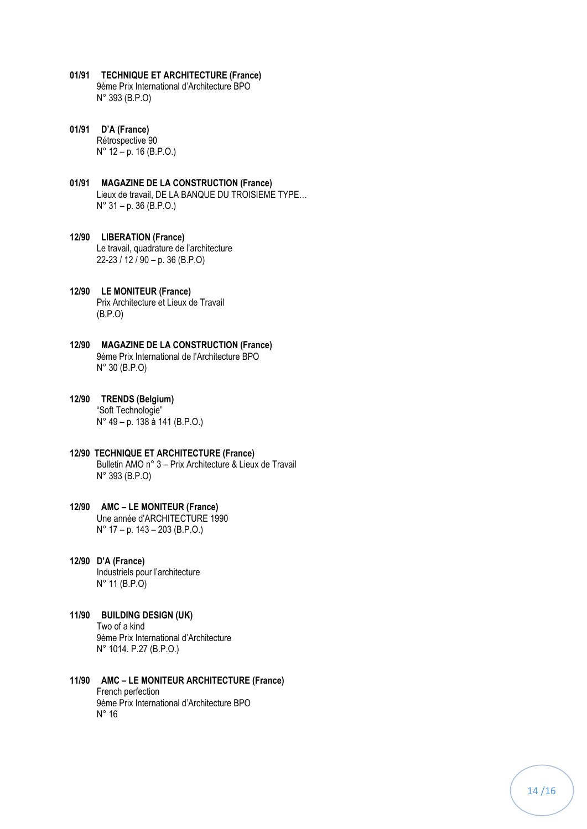- **01/91 TECHNIQUE ET ARCHITECTURE (France)** 9ème Prix International d'Architecture BPO N° 393 (B.P.O)
- **01/91 D'A (France)** Rétrospective 90 N° 12 – p. 16 (B.P.O.)
- **01/91 MAGAZINE DE LA CONSTRUCTION (France)** Lieux de travail, DE LA BANQUE DU TROISIEME TYPE… N° 31 – p. 36 (B.P.O.)
- **12/90 LIBERATION (France)** Le travail, quadrature de l'architecture 22-23 / 12 / 90 – p. 36 (B.P.O)
- **12/90 LE MONITEUR (France)** Prix Architecture et Lieux de Travail (B.P.O)
- **12/90 MAGAZINE DE LA CONSTRUCTION (France)** 9ème Prix International de l'Architecture BPO N° 30 (B.P.O)
- **12/90 TRENDS (Belgium)** "Soft Technologie" N° 49 – p. 138 à 141 (B.P.O.)
- **12/90 TECHNIQUE ET ARCHITECTURE (France)** Bulletin AMO n° 3 – Prix Architecture & Lieux de Travail N° 393 (B.P.O)
- **12/90 AMC – LE MONITEUR (France)** Une année d'ARCHITECTURE 1990 N° 17 – p. 143 – 203 (B.P.O.)
- **12/90 D'A (France)** Industriels pour l'architecture N° 11 (B.P.O)
- **11/90 BUILDING DESIGN (UK)** Two of a kind 9ème Prix International d'Architecture N° 1014. P.27 (B.P.O.)
- **11/90 AMC – LE MONITEUR ARCHITECTURE (France)** French perfection 9ème Prix International d'Architecture BPO N° 16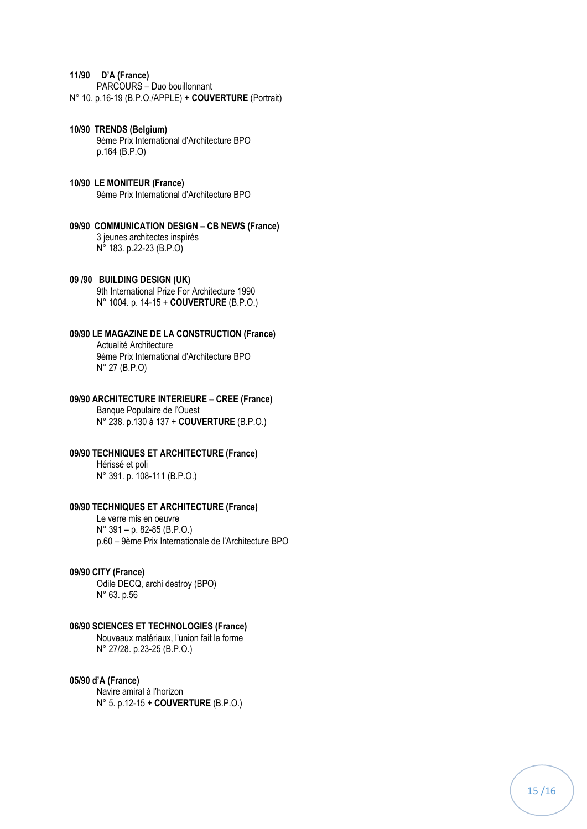#### **11/90 D'A (France)**

 PARCOURS – Duo bouillonnant N° 10. p.16-19 (B.P.O./APPLE) + **COUVERTURE** (Portrait)

#### **10/90 TRENDS (Belgium)** 9ème Prix International d'Architecture BPO p.164 (B.P.O)

- **10/90 LE MONITEUR (France)** 9ème Prix International d'Architecture BPO
- **09/90 COMMUNICATION DESIGN – CB NEWS (France)** 3 jeunes architectes inspirés N° 183. p.22-23 (B.P.O)

#### **09 /90 BUILDING DESIGN (UK)**

 9th International Prize For Architecture 1990 N° 1004. p. 14-15 + **COUVERTURE** (B.P.O.)

## **09/90 LE MAGAZINE DE LA CONSTRUCTION (France)**

 Actualité Architecture 9ème Prix International d'Architecture BPO N° 27 (B.P.O)

#### **09/90 ARCHITECTURE INTERIEURE – CREE (France)**

 Banque Populaire de l'Ouest N° 238. p.130 à 137 + **COUVERTURE** (B.P.O.)

## **09/90 TECHNIQUES ET ARCHITECTURE (France)**

 Hérissé et poli N° 391. p. 108-111 (B.P.O.)

### **09/90 TECHNIQUES ET ARCHITECTURE (France)**

 Le verre mis en oeuvre N° 391 – p. 82-85 (B.P.O.) p.60 – 9ème Prix Internationale de l'Architecture BPO

#### **09/90 CITY (France)**

 Odile DECQ, archi destroy (BPO) N° 63. p.56

## **06/90 SCIENCES ET TECHNOLOGIES (France)**

 Nouveaux matériaux, l'union fait la forme N° 27/28. p.23-25 (B.P.O.)

## **05/90 d'A (France)**

 Navire amiral à l'horizon N° 5. p.12-15 + **COUVERTURE** (B.P.O.)